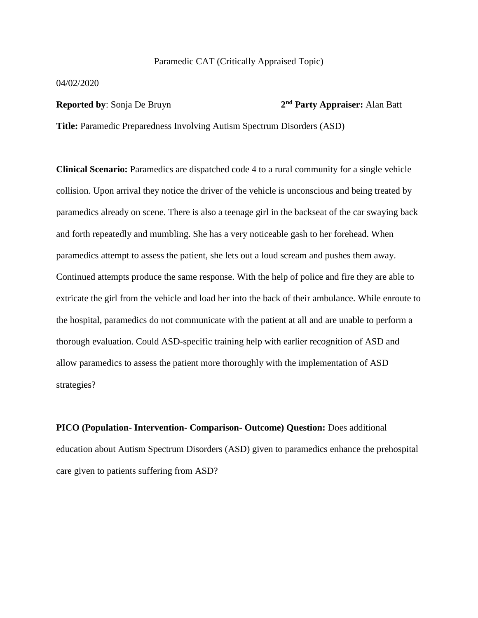### Paramedic CAT (Critically Appraised Topic)

04/02/2020

#### **Reported by**: Sonja De Bruyn **2**

## **nd Party Appraiser:** Alan Batt

**Title:** Paramedic Preparedness Involving Autism Spectrum Disorders (ASD)

**Clinical Scenario:** Paramedics are dispatched code 4 to a rural community for a single vehicle collision. Upon arrival they notice the driver of the vehicle is unconscious and being treated by paramedics already on scene. There is also a teenage girl in the backseat of the car swaying back and forth repeatedly and mumbling. She has a very noticeable gash to her forehead. When paramedics attempt to assess the patient, she lets out a loud scream and pushes them away. Continued attempts produce the same response. With the help of police and fire they are able to extricate the girl from the vehicle and load her into the back of their ambulance. While enroute to the hospital, paramedics do not communicate with the patient at all and are unable to perform a thorough evaluation. Could ASD-specific training help with earlier recognition of ASD and allow paramedics to assess the patient more thoroughly with the implementation of ASD strategies?

**PICO (Population- Intervention- Comparison- Outcome) Question:** Does additional education about Autism Spectrum Disorders (ASD) given to paramedics enhance the prehospital care given to patients suffering from ASD?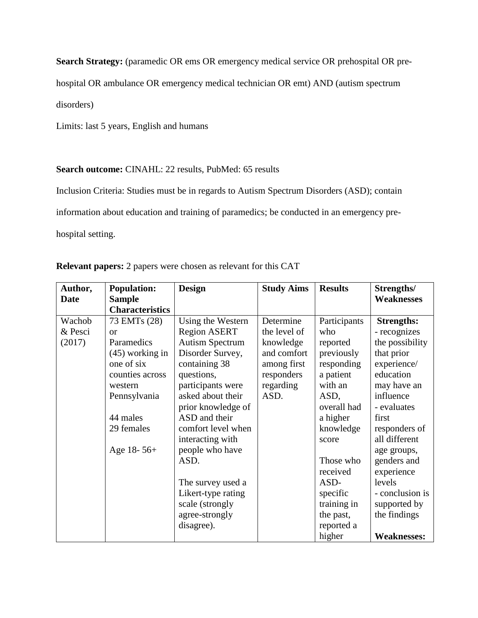**Search Strategy:** (paramedic OR ems OR emergency medical service OR prehospital OR pre-

hospital OR ambulance OR emergency medical technician OR emt) AND (autism spectrum

disorders)

Limits: last 5 years, English and humans

## Search outcome: CINAHL: 22 results, PubMed: 65 results

Inclusion Criteria: Studies must be in regards to Autism Spectrum Disorders (ASD); contain

information about education and training of paramedics; be conducted in an emergency pre-

hospital setting.

| Author,     | <b>Population:</b>       | <b>Design</b>          | <b>Study Aims</b> | <b>Results</b> | Strengths/         |
|-------------|--------------------------|------------------------|-------------------|----------------|--------------------|
| <b>Date</b> | <b>Sample</b>            |                        |                   |                | <b>Weaknesses</b>  |
|             | <b>Characteristics</b>   |                        |                   |                |                    |
| Wachob      | 73 EMT <sub>s</sub> (28) | Using the Western      | Determine         | Participants   | <b>Strengths:</b>  |
| & Pesci     | <sub>or</sub>            | <b>Region ASERT</b>    | the level of      | who            | - recognizes       |
| (2017)      | Paramedics               | <b>Autism Spectrum</b> | knowledge         | reported       | the possibility    |
|             | $(45)$ working in        | Disorder Survey,       | and comfort       | previously     | that prior         |
|             | one of six               | containing 38          | among first       | responding     | experience/        |
|             | counties across          | questions,             | responders        | a patient      | education          |
|             | western                  | participants were      | regarding         | with an        | may have an        |
|             | Pennsylvania             | asked about their      | ASD.              | ASD,           | influence          |
|             |                          | prior knowledge of     |                   | overall had    | - evaluates        |
|             | 44 males                 | ASD and their          |                   | a higher       | first              |
|             | 29 females               | comfort level when     |                   | knowledge      | responders of      |
|             |                          | interacting with       |                   | score          | all different      |
|             | Age 18- $56+$            | people who have        |                   |                | age groups,        |
|             |                          | ASD.                   |                   | Those who      | genders and        |
|             |                          |                        |                   | received       | experience         |
|             |                          | The survey used a      |                   | ASD-           | levels             |
|             |                          | Likert-type rating     |                   | specific       | - conclusion is    |
|             |                          | scale (strongly        |                   | training in    | supported by       |
|             |                          | agree-strongly         |                   | the past,      | the findings       |
|             |                          | disagree).             |                   | reported a     |                    |
|             |                          |                        |                   | higher         | <b>Weaknesses:</b> |

**Relevant papers:** 2 papers were chosen as relevant for this CAT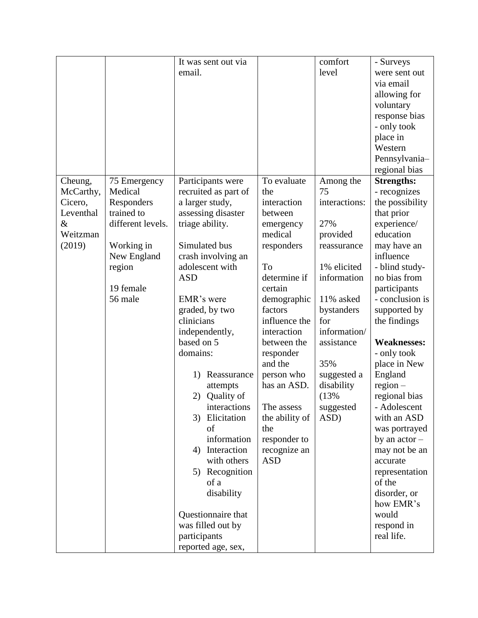|           |                   | It was sent out via  |                | comfort       | - Surveys          |
|-----------|-------------------|----------------------|----------------|---------------|--------------------|
|           |                   | email.               |                | level         | were sent out      |
|           |                   |                      |                |               | via email          |
|           |                   |                      |                |               | allowing for       |
|           |                   |                      |                |               | voluntary          |
|           |                   |                      |                |               | response bias      |
|           |                   |                      |                |               | - only took        |
|           |                   |                      |                |               | place in           |
|           |                   |                      |                |               | Western            |
|           |                   |                      |                |               | Pennsylvania-      |
|           |                   |                      |                |               | regional bias      |
| Cheung,   | 75 Emergency      | Participants were    | To evaluate    | Among the     | <b>Strengths:</b>  |
| McCarthy, | Medical           | recruited as part of | the            | 75            | - recognizes       |
| Cicero,   | Responders        | a larger study,      | interaction    | interactions: | the possibility    |
| Leventhal | trained to        | assessing disaster   | between        |               | that prior         |
| $\&$      | different levels. | triage ability.      | emergency      | 27%           | experience/        |
| Weitzman  |                   |                      | medical        | provided      | education          |
| (2019)    | Working in        | Simulated bus        | responders     | reassurance   | may have an        |
|           | New England       | crash involving an   |                |               | influence          |
|           | region            | adolescent with      | To             | 1% elicited   | - blind study-     |
|           |                   | <b>ASD</b>           | determine if   | information   | no bias from       |
|           | 19 female         |                      | certain        |               | participants       |
|           | 56 male           | EMR's were           | demographic    | 11% asked     | - conclusion is    |
|           |                   | graded, by two       | factors        | bystanders    | supported by       |
|           |                   | clinicians           | influence the  | for           | the findings       |
|           |                   | independently,       | interaction    | information/  |                    |
|           |                   | based on 5           | between the    | assistance    | <b>Weaknesses:</b> |
|           |                   | domains:             | responder      |               | - only took        |
|           |                   |                      | and the        | 35%           | place in New       |
|           |                   | Reassurance<br>1)    | person who     | suggested a   | England            |
|           |                   | attempts             | has an ASD.    | disability    | $region -$         |
|           |                   | 2) Quality of        |                | (13%          | regional bias      |
|           |                   | interactions         | The assess     | suggested     | - Adolescent       |
|           |                   | 3)<br>Elicitation    | the ability of | ASD)          | with an ASD        |
|           |                   | of                   | the            |               | was portrayed      |
|           |                   | information          | responder to   |               | by an $actor -$    |
|           |                   | Interaction<br>4)    | recognize an   |               | may not be an      |
|           |                   | with others          | <b>ASD</b>     |               | accurate           |
|           |                   | Recognition<br>5)    |                |               | representation     |
|           |                   | of a                 |                |               | of the             |
|           |                   | disability           |                |               | disorder, or       |
|           |                   |                      |                |               | how EMR's          |
|           |                   | Questionnaire that   |                |               | would              |
|           |                   | was filled out by    |                |               | respond in         |
|           |                   | participants         |                |               | real life.         |
|           |                   | reported age, sex,   |                |               |                    |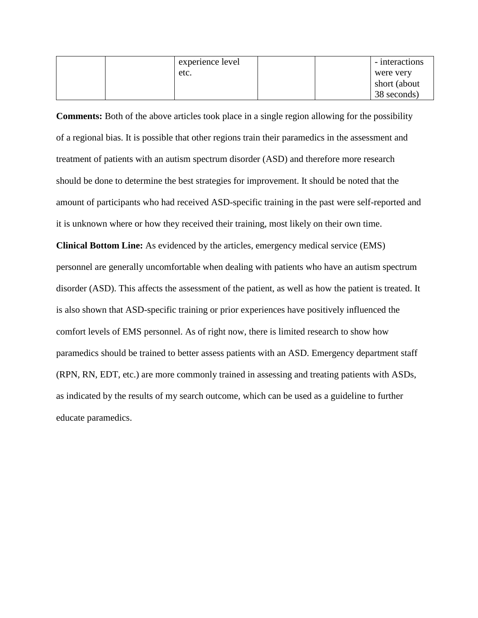|  | experience level |  | - interactions |
|--|------------------|--|----------------|
|  | etc.             |  | were very      |
|  |                  |  | short (about   |
|  |                  |  | 38 seconds)    |

**Comments:** Both of the above articles took place in a single region allowing for the possibility of a regional bias. It is possible that other regions train their paramedics in the assessment and treatment of patients with an autism spectrum disorder (ASD) and therefore more research should be done to determine the best strategies for improvement. It should be noted that the amount of participants who had received ASD-specific training in the past were self-reported and it is unknown where or how they received their training, most likely on their own time.

**Clinical Bottom Line:** As evidenced by the articles, emergency medical service (EMS) personnel are generally uncomfortable when dealing with patients who have an autism spectrum disorder (ASD). This affects the assessment of the patient, as well as how the patient is treated. It is also shown that ASD-specific training or prior experiences have positively influenced the comfort levels of EMS personnel. As of right now, there is limited research to show how paramedics should be trained to better assess patients with an ASD. Emergency department staff (RPN, RN, EDT, etc.) are more commonly trained in assessing and treating patients with ASDs, as indicated by the results of my search outcome, which can be used as a guideline to further educate paramedics.